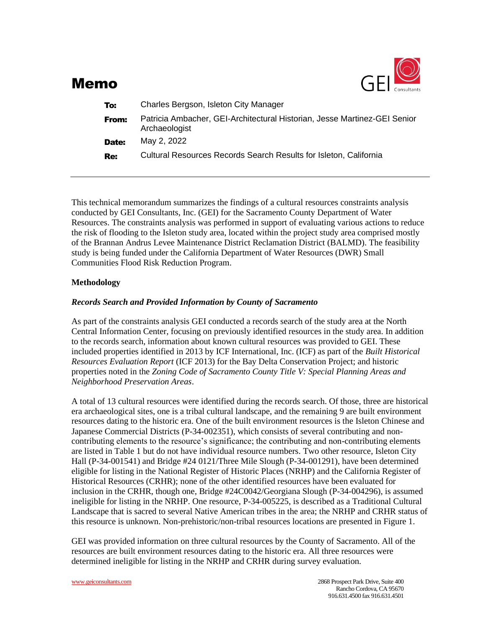

# Memo

| To:   | Charles Bergson, Isleton City Manager                                                      |  |  |
|-------|--------------------------------------------------------------------------------------------|--|--|
| From: | Patricia Ambacher, GEI-Architectural Historian, Jesse Martinez-GEI Senior<br>Archaeologist |  |  |
| Date: | May 2, 2022                                                                                |  |  |
| Re:   | Cultural Resources Records Search Results for Isleton, California                          |  |  |

This technical memorandum summarizes the findings of a cultural resources constraints analysis conducted by GEI Consultants, Inc. (GEI) for the Sacramento County Department of Water Resources. The constraints analysis was performed in support of evaluating various actions to reduce the risk of flooding to the Isleton study area, located within the project study area comprised mostly of the Brannan Andrus Levee Maintenance District Reclamation District (BALMD). The feasibility study is being funded under the California Department of Water Resources (DWR) Small Communities Flood Risk Reduction Program.

## **Methodology**

## *Records Search and Provided Information by County of Sacramento*

As part of the constraints analysis GEI conducted a records search of the study area at the North Central Information Center, focusing on previously identified resources in the study area. In addition to the records search, information about known cultural resources was provided to GEI. These included properties identified in 2013 by ICF International, Inc. (ICF) as part of the *Built Historical Resources Evaluation Report* (ICF 2013) for the Bay Delta Conservation Project; and historic properties noted in the *Zoning Code of Sacramento County Title V: Special Planning Areas and Neighborhood Preservation Areas*.

A total of 13 cultural resources were identified during the records search. Of those, three are historical era archaeological sites, one is a tribal cultural landscape, and the remaining 9 are built environment resources dating to the historic era. One of the built environment resources is the Isleton Chinese and Japanese Commercial Districts (P-34-002351), which consists of several contributing and noncontributing elements to the resource's significance; the contributing and non-contributing elements are listed in Table 1 but do not have individual resource numbers. Two other resource, Isleton City Hall (P-34-001541) and Bridge #24 0121/Three Mile Slough (P-34-001291), have been determined eligible for listing in the National Register of Historic Places (NRHP) and the California Register of Historical Resources (CRHR); none of the other identified resources have been evaluated for inclusion in the CRHR, though one, Bridge #24C0042/Georgiana Slough (P-34-004296), is assumed ineligible for listing in the NRHP. One resource, P-34-005225, is described as a Traditional Cultural Landscape that is sacred to several Native American tribes in the area; the NRHP and CRHR status of this resource is unknown. Non-prehistoric/non-tribal resources locations are presented in Figure 1.

GEI was provided information on three cultural resources by the County of Sacramento. All of the resources are built environment resources dating to the historic era. All three resources were determined ineligible for listing in the NRHP and CRHR during survey evaluation.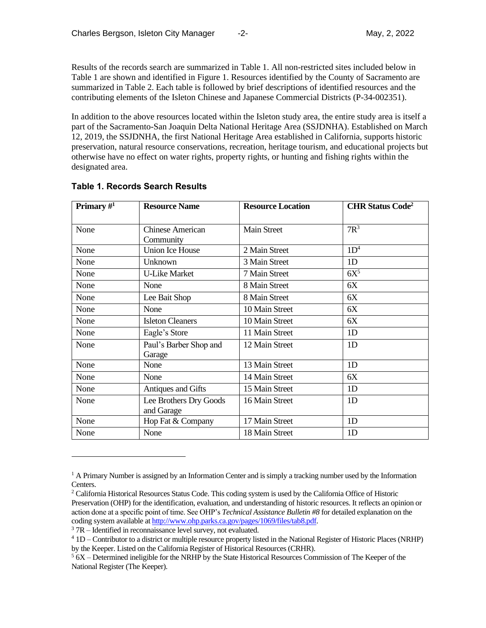Results of the records search are summarized in Table 1. All non-restricted sites included below in Table 1 are shown and identified in Figure 1. Resources identified by the County of Sacramento are summarized in Table 2. Each table is followed by brief descriptions of identified resources and the contributing elements of the Isleton Chinese and Japanese Commercial Districts (P-34-002351).

In addition to the above resources located within the Isleton study area, the entire study area is itself a part of the Sacramento-San Joaquin Delta National Heritage Area (SSJDNHA). Established on March 12, 2019, the SSJDNHA, the first National Heritage Area established in California, supports historic preservation, natural resource conservations, recreation, heritage tourism, and educational projects but otherwise have no effect on water rights, property rights, or hunting and fishing rights within the designated area.

| Primary $\#^1$ | <b>Resource Name</b>                 | <b>Resource Location</b> | <b>CHR Status Code<sup>2</sup></b> |
|----------------|--------------------------------------|--------------------------|------------------------------------|
| None           | <b>Chinese American</b><br>Community | <b>Main Street</b>       | $7R^3$                             |
| None           | <b>Union Ice House</b>               | 2 Main Street            | 1D <sup>4</sup>                    |
| None           | Unknown                              | 3 Main Street            | 1D                                 |
| None           | <b>U-Like Market</b>                 | 7 Main Street            | $6X^5$                             |
| None           | None                                 | 8 Main Street            | 6X                                 |
| None           | Lee Bait Shop                        | 8 Main Street            | 6X                                 |
| None           | None                                 | 10 Main Street           | 6X                                 |
| None           | <b>Isleton Cleaners</b>              | 10 Main Street           | 6X                                 |
| None           | Eagle's Store                        | 11 Main Street           | 1D                                 |
| None           | Paul's Barber Shop and<br>Garage     | 12 Main Street           | 1D                                 |
| None           | None                                 | 13 Main Street           | 1D                                 |
| None           | None                                 | 14 Main Street           | 6X                                 |
| None           | Antiques and Gifts                   | 15 Main Street           | 1D                                 |
| None           | Lee Brothers Dry Goods<br>and Garage | 16 Main Street           | 1D                                 |
| None           | Hop Fat & Company                    | 17 Main Street           | 1 <sub>D</sub>                     |
| None           | None                                 | 18 Main Street           | 1 <sub>D</sub>                     |

## **Table 1. Records Search Results**

 $37R$  – Identified in reconnaissance level survey, not evaluated.

 $1$  A Primary Number is assigned by an Information Center and is simply a tracking number used by the Information Centers.

<sup>2</sup> California Historical Resources Status Code. This coding system is used by the California Office of Historic Preservation (OHP) for the identification, evaluation, and understanding of historic resources. It reflects an opinion or action done at a specific point of time. See OHP's *Technical Assistance Bulletin #8* for detailed explanation on the coding system available a[t http://www.ohp.parks.ca.gov/pages/1069/files/tab8.pdf.](http://www.ohp.parks.ca.gov/pages/1069/files/tab8.pdf) 

<sup>4</sup> 1D – Contributor to a district or multiple resource property listed in the National Register of Historic Places (NRHP) by the Keeper. Listed on the California Register of Historical Resources (CRHR).

 $56X -$  Determined ineligible for the NRHP by the State Historical Resources Commission of The Keeper of the National Register (The Keeper).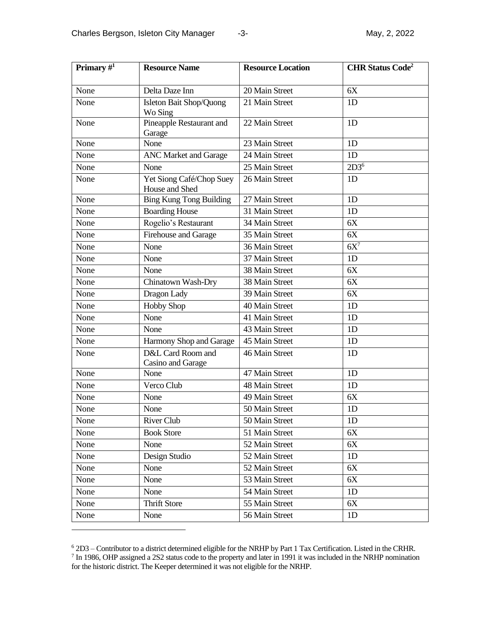| Primary $#^1$ | <b>Resource Name</b>                       | <b>Resource Location</b> | <b>CHR Status Code<sup>2</sup></b> |
|---------------|--------------------------------------------|--------------------------|------------------------------------|
| None          | Delta Daze Inn                             | 20 Main Street           | 6X                                 |
| None          | Isleton Bait Shop/Quong<br>Wo Sing         | 21 Main Street           | 1D                                 |
| None          | Pineapple Restaurant and<br>Garage         | 22 Main Street           | 1D                                 |
| None          | None                                       | 23 Main Street           | 1D                                 |
| None          | <b>ANC Market and Garage</b>               | 24 Main Street           | 1D                                 |
| None          | None                                       | 25 Main Street           | 2D3 <sup>6</sup>                   |
| None          | Yet Siong Café/Chop Suey<br>House and Shed | 26 Main Street           | 1D                                 |
| None          | <b>Bing Kung Tong Building</b>             | 27 Main Street           | 1D                                 |
| None          | <b>Boarding House</b>                      | 31 Main Street           | 1D                                 |
| None          | Rogelio's Restaurant                       | 34 Main Street           | 6X                                 |
| None          | Firehouse and Garage                       | 35 Main Street           | 6X                                 |
| None          | None                                       | 36 Main Street           | $6X^7$                             |
| None          | None                                       | 37 Main Street           | 1D                                 |
| None          | None                                       | 38 Main Street           | 6X                                 |
| None          | Chinatown Wash-Dry                         | 38 Main Street           | 6X                                 |
| None          | Dragon Lady                                | 39 Main Street           | 6X                                 |
| None          | <b>Hobby Shop</b>                          | 40 Main Street           | 1D                                 |
| None          | None                                       | 41 Main Street           | 1D                                 |
| None          | None                                       | 43 Main Street           | 1D                                 |
| None          | Harmony Shop and Garage                    | 45 Main Street           | 1D                                 |
| None          | D&L Card Room and<br>Casino and Garage     | 46 Main Street           | 1D                                 |
| None          | None                                       | 47 Main Street           | 1D                                 |
| None          | Verco Club                                 | 48 Main Street           | 1D                                 |
| None          | None                                       | 49 Main Street           | 6X                                 |
| None          | None                                       | 50 Main Street           | 1D                                 |
| None          | River Club                                 | 50 Main Street           | 1D                                 |
| None          | <b>Book Store</b>                          | 51 Main Street           | 6X                                 |
| None          | None                                       | 52 Main Street           | 6X                                 |
| None          | Design Studio                              | 52 Main Street           | 1D                                 |
| None          | None                                       | 52 Main Street           | 6X                                 |
| None          | None                                       | 53 Main Street           | 6X                                 |
| None          | None                                       | 54 Main Street           | 1D                                 |
| None          | <b>Thrift Store</b>                        | 55 Main Street           | 6X                                 |
| None          | None                                       | 56 Main Street           | 1D                                 |

 $^6$  2D3 – Contributor to a district determined eligible for the NRHP by Part 1 Tax Certification. Listed in the CRHR.<br><sup>7</sup> In 1986, OHP assigned a 2S2 status code to the property and later in 1991 it was included in the N for the historic district. The Keeper determined it was not eligible for the NRHP.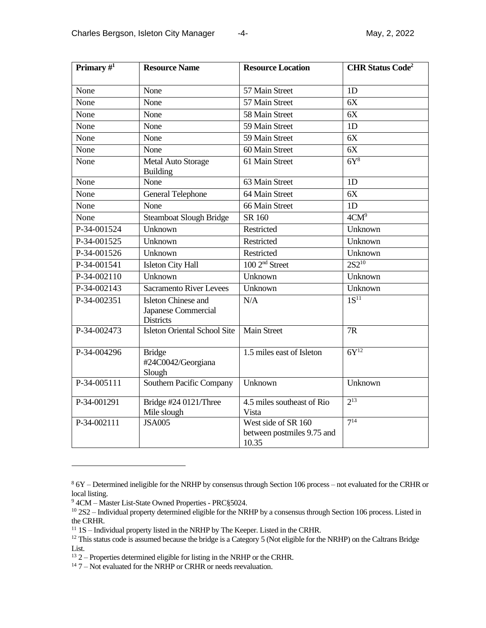| Primary $#^1$ | <b>Resource Name</b>                                                  | <b>Resource Location</b>                                   | <b>CHR Status Code<sup>2</sup></b> |
|---------------|-----------------------------------------------------------------------|------------------------------------------------------------|------------------------------------|
| None          | None                                                                  | 57 Main Street                                             | 1D                                 |
| None          | None                                                                  | 57 Main Street                                             | 6X                                 |
| None          | None                                                                  | 58 Main Street                                             | 6X                                 |
| None          | None                                                                  | 59 Main Street                                             | 1D                                 |
| None          | None                                                                  | 59 Main Street                                             | 6X                                 |
| None          | None                                                                  | 60 Main Street                                             | 6X                                 |
| None          | Metal Auto Storage<br><b>Building</b>                                 | 61 Main Street                                             | 6Y <sup>8</sup>                    |
| None          | None                                                                  | 63 Main Street                                             | 1D                                 |
| None          | <b>General Telephone</b>                                              | 64 Main Street                                             | 6X                                 |
| None          | None                                                                  | 66 Main Street                                             | 1D                                 |
| None          | <b>Steamboat Slough Bridge</b>                                        | SR 160                                                     | 4CM <sup>9</sup>                   |
| P-34-001524   | Unknown                                                               | Restricted                                                 | Unknown                            |
| P-34-001525   | Unknown                                                               | Restricted                                                 | Unknown                            |
| P-34-001526   | Unknown                                                               | Restricted                                                 | Unknown                            |
| P-34-001541   | <b>Isleton City Hall</b>                                              | 100 2 <sup>nd</sup> Street                                 | $2S2^{10}$                         |
| P-34-002110   | Unknown                                                               | Unknown                                                    | Unknown                            |
| P-34-002143   | <b>Sacramento River Levees</b>                                        | Unknown                                                    | Unknown                            |
| P-34-002351   | <b>Isleton Chinese and</b><br>Japanese Commercial<br><b>Districts</b> | N/A                                                        | $1S^{11}$                          |
| P-34-002473   | <b>Isleton Oriental School Site</b>                                   | <b>Main Street</b>                                         | 7R                                 |
| P-34-004296   | <b>Bridge</b><br>#24C0042/Georgiana<br>Slough                         | 1.5 miles east of Isleton                                  | $6Y$ <sup>12</sup>                 |
| P-34-005111   | Southern Pacific Company                                              | Unknown                                                    | Unknown                            |
| P-34-001291   | Bridge #24 0121/Three<br>Mile slough                                  | 4.5 miles southeast of Rio<br>Vista                        | $2^{13}$                           |
| P-34-002111   | <b>JSA005</b>                                                         | West side of SR 160<br>between postmiles 9.75 and<br>10.35 | $7^{14}$                           |

<sup>8</sup> 6Y – Determined ineligible for the NRHP by consensus through Section 106 process – not evaluated for the CRHR or local listing.

<sup>9 4</sup>CM – Master List-State Owned Properties - PRC§5024.

 $10\,2$ S2 – Individual property determined eligible for the NRHP by a consensus through Section 106 process. Listed in the CRHR.

<sup>&</sup>lt;sup>11</sup> 1S – Individual property listed in the NRHP by The Keeper. Listed in the CRHR.

<sup>&</sup>lt;sup>12</sup> This status code is assumed because the bridge is a Category 5 (Not eligible for the NRHP) on the Caltrans Bridge List.

<sup>&</sup>lt;sup>13</sup> 2 – Properties determined eligible for listing in the NRHP or the CRHR.

 $14$  7 – Not evaluated for the NRHP or CRHR or needs reevaluation.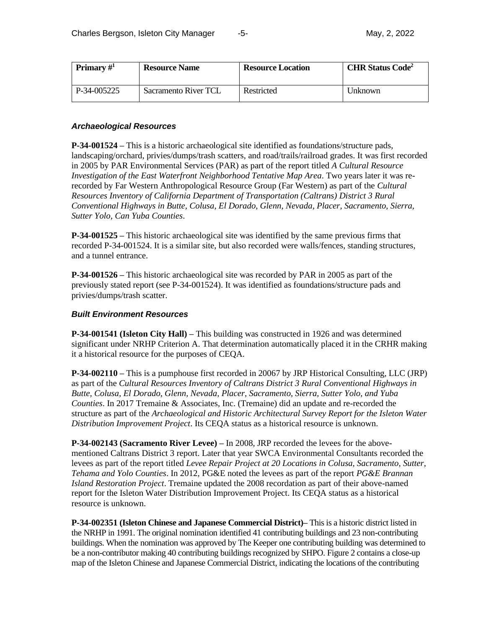| Primary $\#^1$ | <b>Resource Name</b> | <b>Resource Location</b> | <b>CHR Status Code<sup>2</sup></b> |
|----------------|----------------------|--------------------------|------------------------------------|
| P-34-005225    | Sacramento River TCL | Restricted               | Unknown                            |

## *Archaeological Resources*

**P-34-001524 –** This is a historic archaeological site identified as foundations/structure pads, landscaping/orchard, privies/dumps/trash scatters, and road/trails/railroad grades. It was first recorded in 2005 by PAR Environmental Services (PAR) as part of the report titled *A Cultural Resource Investigation of the East Waterfront Neighborhood Tentative Map Area*. Two years later it was rerecorded by Far Western Anthropological Resource Group (Far Western) as part of the *Cultural Resources Inventory of California Department of Transportation (Caltrans) District 3 Rural Conventional Highways in Butte, Colusa, El Dorado, Glenn, Nevada, Placer, Sacramento, Sierra, Sutter Yolo, Can Yuba Counties*.

**P-34-001525 –** This historic archaeological site was identified by the same previous firms that recorded P-34-001524. It is a similar site, but also recorded were walls/fences, standing structures, and a tunnel entrance.

**P-34-001526 –** This historic archaeological site was recorded by PAR in 2005 as part of the previously stated report (see P-34-001524). It was identified as foundations/structure pads and privies/dumps/trash scatter.

#### *Built Environment Resources*

**P-34-001541 (Isleton City Hall) –** This building was constructed in 1926 and was determined significant under NRHP Criterion A. That determination automatically placed it in the CRHR making it a historical resource for the purposes of CEQA.

**P-34-002110 –** This is a pumphouse first recorded in 20067 by JRP Historical Consulting, LLC (JRP) as part of the *Cultural Resources Inventory of Caltrans District 3 Rural Conventional Highways in Butte, Colusa, El Dorado, Glenn, Nevada, Placer, Sacramento, Sierra, Sutter Yolo, and Yuba Counties*. In 2017 Tremaine & Associates, Inc. (Tremaine) did an update and re-recorded the structure as part of the *Archaeological and Historic Architectural Survey Report for the Isleton Water Distribution Improvement Project*. Its CEQA status as a historical resource is unknown.

**P-34-002143 (Sacramento River Levee) –** In 2008, JRP recorded the levees for the abovementioned Caltrans District 3 report. Later that year SWCA Environmental Consultants recorded the levees as part of the report titled *Levee Repair Project at 20 Locations in Colusa, Sacramento, Sutter, Tehama and Yolo Counties*. In 2012, PG&E noted the levees as part of the report *PG&E Brannan Island Restoration Project*. Tremaine updated the 2008 recordation as part of their above-named report for the Isleton Water Distribution Improvement Project. Its CEQA status as a historical resource is unknown.

**P-34-002351 (Isleton Chinese and Japanese Commercial District)–** This is a historic district listed in the NRHP in 1991. The original nomination identified 41 contributing buildings and 23 non-contributing buildings. When the nomination was approved by The Keeper one contributing building was determined to be a non-contributor making 40 contributing buildings recognized by SHPO. Figure 2 contains a close-up map of the Isleton Chinese and Japanese Commercial District, indicating the locations of the contributing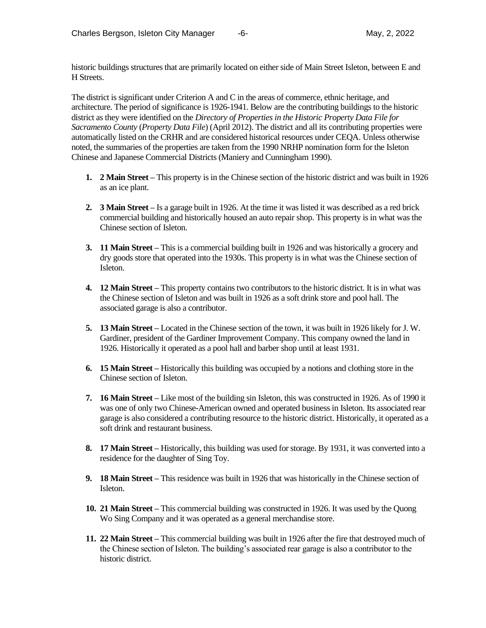historic buildings structures that are primarily located on either side of Main Street Isleton, between E and H Streets.

The district is significant under Criterion A and C in the areas of commerce, ethnic heritage, and architecture. The period of significance is 1926-1941. Below are the contributing buildings to the historic district as they were identified on the *Directory of Properties in the Historic Property Data File for Sacramento County* (*Property Data File*) (April 2012). The district and all its contributing properties were automatically listed on the CRHR and are considered historical resources under CEQA. Unless otherwise noted, the summaries of the properties are taken from the 1990 NRHP nomination form for the Isleton Chinese and Japanese Commercial Districts (Maniery and Cunningham 1990).

- **1. 2 Main Street –** This property is in the Chinese section of the historic district and was built in 1926 as an ice plant.
- **2. 3 Main Street –** Is a garage built in 1926. At the time it was listed it was described as a red brick commercial building and historically housed an auto repair shop. This property is in what was the Chinese section of Isleton.
- **3. 11 Main Street –** This is a commercial building built in 1926 and was historically a grocery and dry goods store that operated into the 1930s. This property is in what was the Chinese section of Isleton.
- **4. 12 Main Street –** This property contains two contributors to the historic district. It is in what was the Chinese section of Isleton and was built in 1926 as a soft drink store and pool hall. The associated garage is also a contributor.
- **5. 13 Main Street –** Located in the Chinese section of the town, it was built in 1926 likely for J. W. Gardiner, president of the Gardiner Improvement Company. This company owned the land in 1926. Historically it operated as a pool hall and barber shop until at least 1931.
- **6. 15 Main Street –** Historically this building was occupied by a notions and clothing store in the Chinese section of Isleton.
- **7. 16 Main Street –** Like most of the building sin Isleton, this was constructed in 1926. As of 1990 it was one of only two Chinese-American owned and operated business in Isleton. Its associated rear garage is also considered a contributing resource to the historic district. Historically, it operated as a soft drink and restaurant business.
- **8. 17 Main Street –** Historically, this building was used for storage. By 1931, it was converted into a residence for the daughter of Sing Toy.
- **9. 18 Main Street –** This residence was built in 1926 that was historically in the Chinese section of Isleton.
- **10. 21 Main Street –** This commercial building was constructed in 1926. It was used by the Quong Wo Sing Company and it was operated as a general merchandise store.
- **11. 22 Main Street –** This commercial building was built in 1926 after the fire that destroyed much of the Chinese section of Isleton. The building's associated rear garage is also a contributor to the historic district.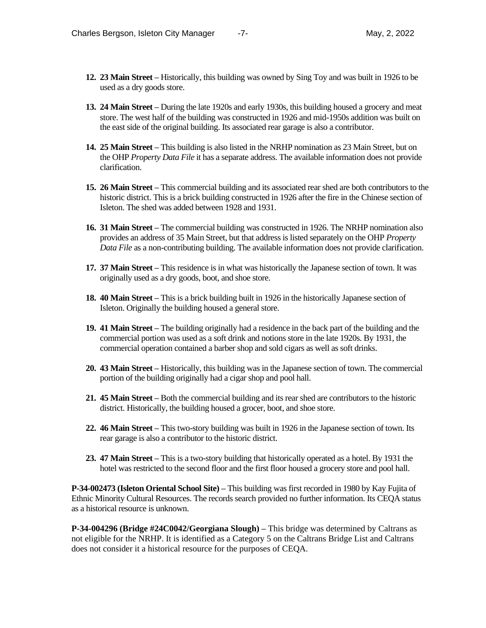- **12. 23 Main Street –** Historically, this building was owned by Sing Toy and was built in 1926 to be used as a dry goods store.
- **13. 24 Main Street –** During the late 1920s and early 1930s, this building housed a grocery and meat store. The west half of the building was constructed in 1926 and mid-1950s addition was built on the east side of the original building. Its associated rear garage is also a contributor.
- **14. 25 Main Street –** This building is also listed in the NRHP nomination as 23 Main Street, but on the OHP *Property Data File* it has a separate address. The available information does not provide clarification.
- **15. 26 Main Street –** This commercial building and its associated rear shed are both contributors to the historic district. This is a brick building constructed in 1926 after the fire in the Chinese section of Isleton. The shed was added between 1928 and 1931.
- **16. 31 Main Street –** The commercial building was constructed in 1926. The NRHP nomination also provides an address of 35 Main Street, but that address is listed separately on the OHP *Property Data File* as a non-contributing building. The available information does not provide clarification.
- **17. 37 Main Street –** This residence is in what was historically the Japanese section of town. It was originally used as a dry goods, boot, and shoe store.
- **18. 40 Main Street –** This is a brick building built in 1926 in the historically Japanese section of Isleton. Originally the building housed a general store.
- **19. 41 Main Street –** The building originally had a residence in the back part of the building and the commercial portion was used as a soft drink and notions store in the late 1920s. By 1931, the commercial operation contained a barber shop and sold cigars as well as soft drinks.
- **20. 43 Main Street –** Historically, this building was in the Japanese section of town. The commercial portion of the building originally had a cigar shop and pool hall.
- **21. 45 Main Street –** Both the commercial building and its rear shed are contributors to the historic district. Historically, the building housed a grocer, boot, and shoe store.
- **22. 46 Main Street –** This two-story building was built in 1926 in the Japanese section of town. Its rear garage is also a contributor to the historic district.
- **23. 47 Main Street –** This is a two-story building that historically operated as a hotel. By 1931 the hotel was restricted to the second floor and the first floor housed a grocery store and pool hall.

**P-34-002473 (Isleton Oriental School Site) –** This building was first recorded in 1980 by Kay Fujita of Ethnic Minority Cultural Resources. The records search provided no further information. Its CEQA status as a historical resource is unknown.

**P-34-004296 (Bridge #24C0042/Georgiana Slough) –** This bridge was determined by Caltrans as not eligible for the NRHP. It is identified as a Category 5 on the Caltrans Bridge List and Caltrans does not consider it a historical resource for the purposes of CEQA.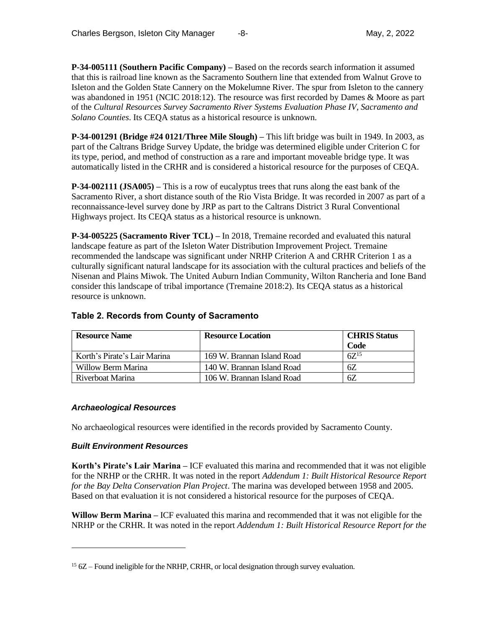**P-34-005111 (Southern Pacific Company) –** Based on the records search information it assumed that this is railroad line known as the Sacramento Southern line that extended from Walnut Grove to Isleton and the Golden State Cannery on the Mokelumne River. The spur from Isleton to the cannery was abandoned in 1951 (NCIC 2018:12). The resource was first recorded by Dames & Moore as part of the *Cultural Resources Survey Sacramento River Systems Evaluation Phase IV, Sacramento and Solano Counties*. Its CEQA status as a historical resource is unknown.

**P-34-001291 (Bridge #24 0121/Three Mile Slough) –** This lift bridge was built in 1949. In 2003, as part of the Caltrans Bridge Survey Update, the bridge was determined eligible under Criterion C for its type, period, and method of construction as a rare and important moveable bridge type. It was automatically listed in the CRHR and is considered a historical resource for the purposes of CEQA.

**P-34-002111 (JSA005) –** This is a row of eucalyptus trees that runs along the east bank of the Sacramento River, a short distance south of the Rio Vista Bridge. It was recorded in 2007 as part of a reconnaissance-level survey done by JRP as part to the Caltrans District 3 Rural Conventional Highways project. Its CEQA status as a historical resource is unknown.

**P-34-005225 (Sacramento River TCL) –** In 2018, Tremaine recorded and evaluated this natural landscape feature as part of the Isleton Water Distribution Improvement Project. Tremaine recommended the landscape was significant under NRHP Criterion A and CRHR Criterion 1 as a culturally significant natural landscape for its association with the cultural practices and beliefs of the Nisenan and Plains Miwok. The United Auburn Indian Community, Wilton Rancheria and Ione Band consider this landscape of tribal importance (Tremaine 2018:2). Its CEQA status as a historical resource is unknown.

| <b>Resource Name</b>         | <b>Resource Location</b>   | <b>CHRIS Status</b> |
|------------------------------|----------------------------|---------------------|
|                              |                            | Code                |
| Korth's Pirate's Lair Marina | 169 W. Brannan Island Road | $6Z^{15}$           |
| Willow Berm Marina           | 140 W. Brannan Island Road | 6Ζ                  |
| Riverboat Marina             | 106 W. Brannan Island Road | 6Z                  |

## **Table 2. Records from County of Sacramento**

## *Archaeological Resources*

No archaeological resources were identified in the records provided by Sacramento County.

## *Built Environment Resources*

**Korth's Pirate's Lair Marina –** ICF evaluated this marina and recommended that it was not eligible for the NRHP or the CRHR. It was noted in the report *Addendum 1: Built Historical Resource Report for the Bay Delta Conservation Plan Project*. The marina was developed between 1958 and 2005. Based on that evaluation it is not considered a historical resource for the purposes of CEQA.

**Willow Berm Marina –** ICF evaluated this marina and recommended that it was not eligible for the NRHP or the CRHR. It was noted in the report *Addendum 1: Built Historical Resource Report for the* 

<sup>&</sup>lt;sup>15</sup> 6Z – Found ineligible for the NRHP, CRHR, or local designation through survey evaluation.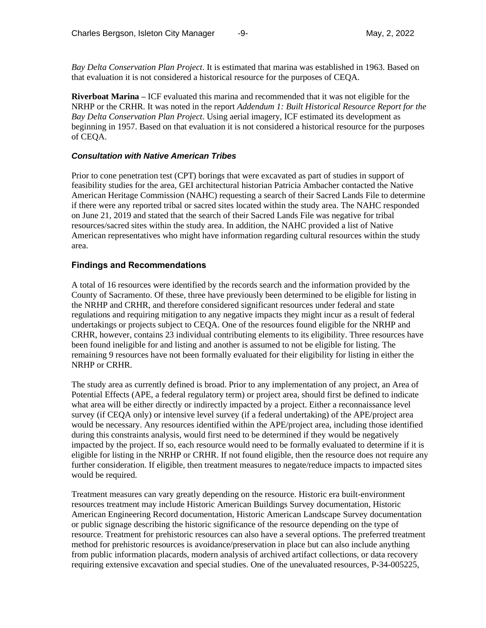*Bay Delta Conservation Plan Project*. It is estimated that marina was established in 1963. Based on that evaluation it is not considered a historical resource for the purposes of CEQA.

**Riverboat Marina –** ICF evaluated this marina and recommended that it was not eligible for the NRHP or the CRHR. It was noted in the report *Addendum 1: Built Historical Resource Report for the Bay Delta Conservation Plan Project*. Using aerial imagery, ICF estimated its development as beginning in 1957. Based on that evaluation it is not considered a historical resource for the purposes of CEQA.

#### *Consultation with Native American Tribes*

Prior to cone penetration test (CPT) borings that were excavated as part of studies in support of feasibility studies for the area, GEI architectural historian Patricia Ambacher contacted the Native American Heritage Commission (NAHC) requesting a search of their Sacred Lands File to determine if there were any reported tribal or sacred sites located within the study area. The NAHC responded on June 21, 2019 and stated that the search of their Sacred Lands File was negative for tribal resources/sacred sites within the study area. In addition, the NAHC provided a list of Native American representatives who might have information regarding cultural resources within the study area.

## **Findings and Recommendations**

A total of 16 resources were identified by the records search and the information provided by the County of Sacramento. Of these, three have previously been determined to be eligible for listing in the NRHP and CRHR, and therefore considered significant resources under federal and state regulations and requiring mitigation to any negative impacts they might incur as a result of federal undertakings or projects subject to CEQA. One of the resources found eligible for the NRHP and CRHR, however, contains 23 individual contributing elements to its eligibility. Three resources have been found ineligible for and listing and another is assumed to not be eligible for listing. The remaining 9 resources have not been formally evaluated for their eligibility for listing in either the NRHP or CRHR.

The study area as currently defined is broad. Prior to any implementation of any project, an Area of Potential Effects (APE, a federal regulatory term) or project area, should first be defined to indicate what area will be either directly or indirectly impacted by a project. Either a reconnaissance level survey (if CEQA only) or intensive level survey (if a federal undertaking) of the APE/project area would be necessary. Any resources identified within the APE/project area, including those identified during this constraints analysis, would first need to be determined if they would be negatively impacted by the project. If so, each resource would need to be formally evaluated to determine if it is eligible for listing in the NRHP or CRHR. If not found eligible, then the resource does not require any further consideration. If eligible, then treatment measures to negate/reduce impacts to impacted sites would be required.

Treatment measures can vary greatly depending on the resource. Historic era built-environment resources treatment may include Historic American Buildings Survey documentation, Historic American Engineering Record documentation, Historic American Landscape Survey documentation or public signage describing the historic significance of the resource depending on the type of resource. Treatment for prehistoric resources can also have a several options. The preferred treatment method for prehistoric resources is avoidance/preservation in place but can also include anything from public information placards, modern analysis of archived artifact collections, or data recovery requiring extensive excavation and special studies. One of the unevaluated resources, P-34-005225,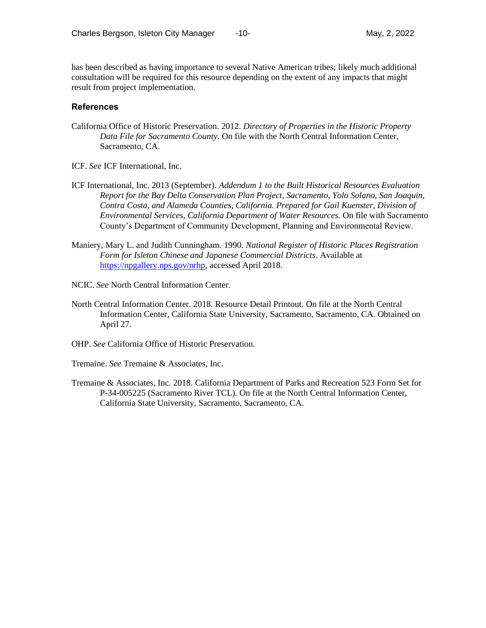has been described as having importance to several Native American tribes; likely much additional consultation will be required for this resource depending on the extent of any impacts that might result from project implementation.

## **References**

- California Office of Historic Preservation. 2012. *Directory of Properties in the Historic Property Data File for Sacramento County*. On file with the North Central Information Center, Sacramento, CA.
- ICF. *See* ICF International, Inc.
- ICF International, Inc. 2013 (September). *Addendum 1 to the Built Historical Resources Evaluation Report for the Bay Delta Conservation Plan Project, Sacramento, Yolo Solano, San Joaquin, Contra Costa, and Alameda Counties, California. Prepared for Gail Kuenster, Division of Environmental Services, California Department of Water Resources.* On file with Sacramento County's Department of Community Development, Planning and Environmental Review.
- Maniery, Mary L. and Judith Cunningham. 1990. *National Register of Historic Places Registration Form for Isleton Chinese and Japanese Commercial Districts*. Available at [https://npgallery.nps.gov/nrhp,](https://npgallery.nps.gov/nrhp) accessed April 2018.
- NCIC. *See* North Central Information Center.
- North Central Information Center. 2018. Resource Detail Printout. On file at the North Central Information Center, California State University, Sacramento, Sacramento, CA. Obtained on April 27.
- OHP. *See* California Office of Historic Preservation.
- Tremaine. *See* Tremaine & Associates, Inc.
- Tremaine & Associates, Inc. 2018. California Department of Parks and Recreation 523 Form Set for P-34-005225 (Sacramento River TCL). On file at the North Central Information Center, California State University, Sacramento, Sacramento, CA.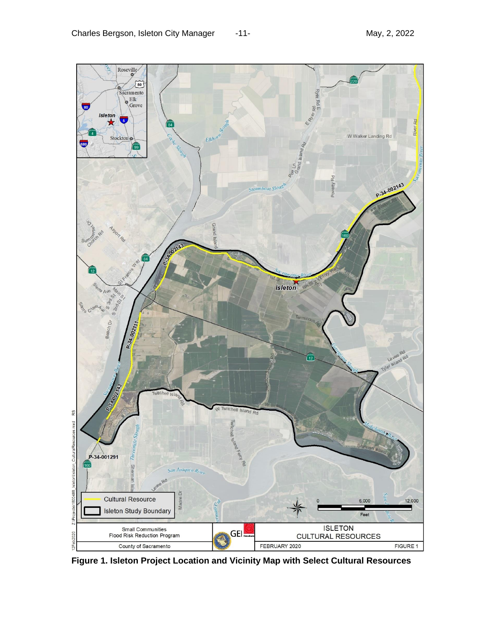

**Figure 1. Isleton Project Location and Vicinity Map with Select Cultural Resources**